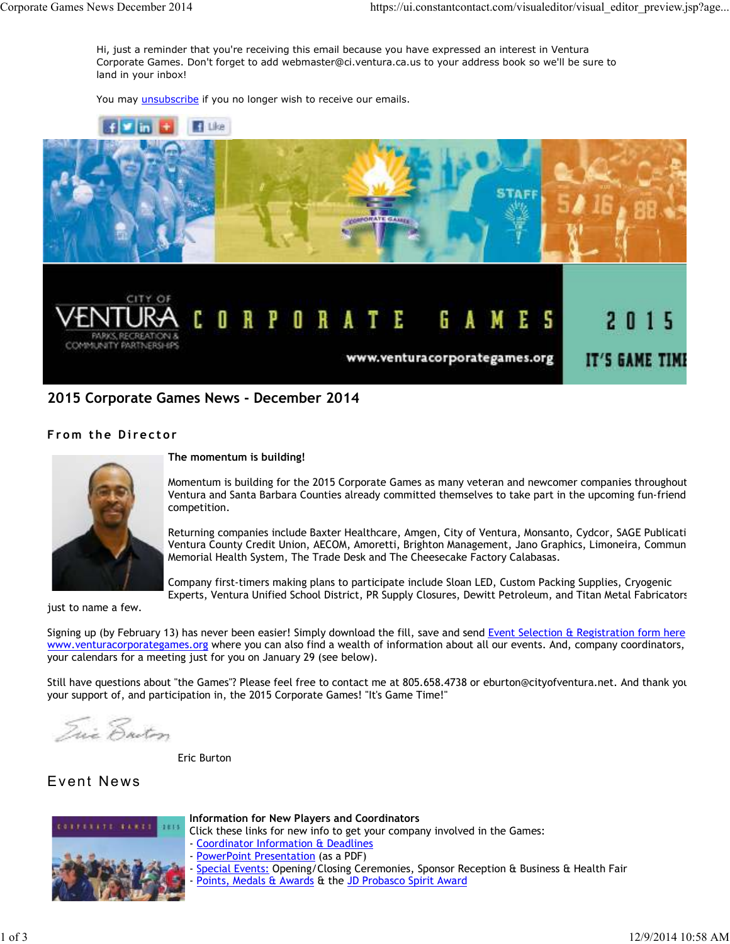Hi, just a reminder that you're receiving this email because you have expressed an interest in Ventura Corporate Games. Don't forget to add webmaster@ci.ventura.ca.us to your address book so we'll be sure to land in your inbox!

You may *unsubscribe* if you no longer wish to receive our emails.



# **2015 Corporate Games News - December 2014**

## **From the Director**



### **The momentum is building!**

Momentum is building for the 2015 Corporate Games as many veteran and newcomer companies throughout Ventura and Santa Barbara Counties already committed themselves to take part in the upcoming fun-friend competition.

Returning companies include Baxter Healthcare, Amgen, City of Ventura, Monsanto, Cydcor, SAGE Publicati Ventura County Credit Union, AECOM, Amoretti, Brighton Management, Jano Graphics, Limoneira, Commun Memorial Health System, The Trade Desk and The Cheesecake Factory Calabasas.

Company first-timers making plans to participate include Sloan LED, Custom Packing Supplies, Cryogenic Experts, Ventura Unified School District, PR Supply Closures, Dewitt Petroleum, and Titan Metal Fabricators,

just to name a few.

Signing up (by February 13) has never been easier! Simply download the fill, save and send Event Selection & Registration form here www.venturacorporategames.org where you can also find a wealth of information about all our events. And, company coordinators, your calendars for a meeting just for you on January 29 (see below).

Still have questions about "the Games"? Please feel free to contact me at 805.658.4738 or eburton@cityofventura.net. And thank you your support of, and participation in, the 2015 Corporate Games! "It's Game Time!"

Irie Ensten

Eric Burton

# Event News



## **Information for New Players and Coordinators**

Click these links for new info to get your company involved in the Games: - Coordinator Information & Deadlines

- PowerPoint Presentation (as a PDF)
- Special Events: Opening/Closing Ceremonies, Sponsor Reception & Business & Health Fair
- Points, Medals & Awards & the JD Probasco Spirit Award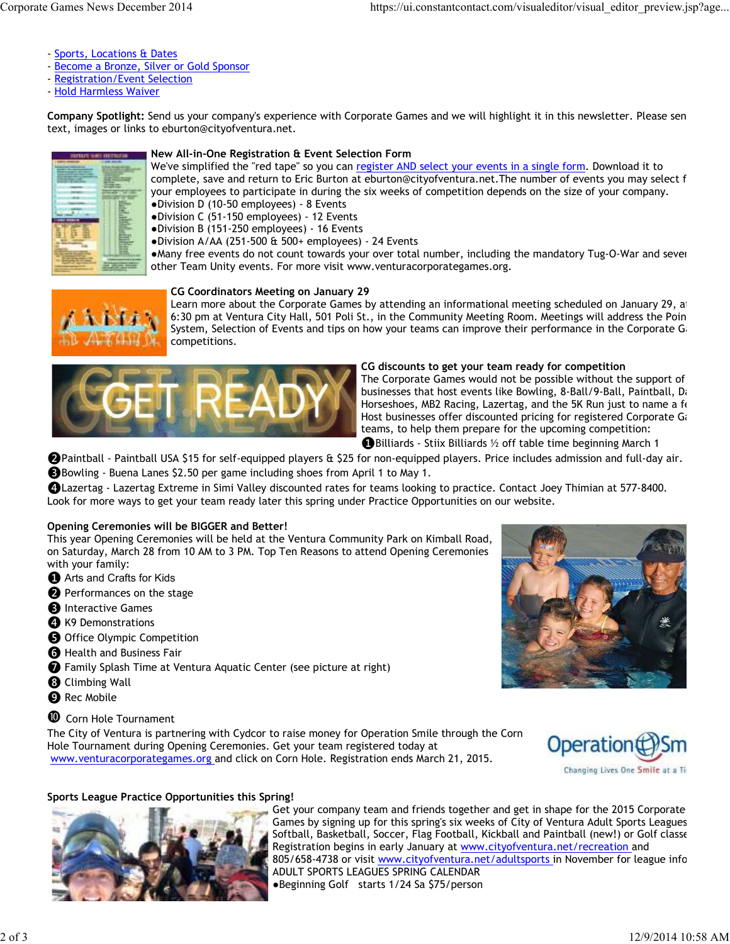- Sports, Locations & Dates
- Become a Bronze, Silver or Gold Sponsor
- Registration/Event Selection
- Hold Harmless Waiver

**Company Spotlight:** Send us your company's experience with Corporate Games and we will highlight it in this newsletter. Please send text, images or links to eburton@cityofventura.net.



### **New All-in-One Registration & Event Selection Form**

We've simplified the "red tape" so you can register AND select your events in a single form. Download it to complete, save and return to Eric Burton at eburton@cityofventura.net. The number of events you may select f your employees to participate in during the six weeks of competition depends on the size of your company. ●Division D (10-50 employees) - 8 Events

●Division C (51-150 employees) - 12 Events

●Division B (151-250 employees) - 16 Events

●Division A/AA (251-500 & 500+ employees) - 24 Events

●Many free events do not count towards your over total number, including the mandatory Tug-O-War and seven other Team Unity events. For more visit www.venturacorporategames.org.



#### **CG Coordinators Meeting on January 29**

Learn more about the Corporate Games by attending an informational meeting scheduled on January 29, at 6:30 pm at Ventura City Hall, 501 Poli St., in the Community Meeting Room. Meetings will address the Poin System, Selection of Events and tips on how your teams can improve their performance in the Corporate G competitions.



#### **CG discounts to get your team ready for competition**

The Corporate Games would not be possible without the support of businesses that host events like Bowling, 8-Ball/9-Ball, Paintball, Da Horseshoes, MB2 Racing, Lazertag, and the 5K Run just to name a fe Host businesses offer discounted pricing for registered Corporate Games teams, to help them prepare for the upcoming competition:

❶Billiards - Stiix Billiards ½ off table time beginning March 1

❷Paintball - Paintball USA \$15 for self-equipped players & \$25 for non-equipped players. Price includes admission and full-day air. ❸Bowling - Buena Lanes \$2.50 per game including shoes from April 1 to May 1.

❹Lazertag - Lazertag Extreme in Simi Valley discounted rates for teams looking to practice. Contact Joey Thimian at 577-8400. Look for more ways to get your team ready later this spring under Practice Opportunities on our website.

#### **Opening Ceremonies will be BIGGER and Better!**

This year Opening Ceremonies will be held at the Ventura Community Park on Kimball Road, on Saturday, March 28 from 10 AM to 3 PM. Top Ten Reasons to attend Opening Ceremonies with your family:

- **O** Arts and Crafts for Kids
- **2** Performances on the stage
- **B** Interactive Games
- **O** K9 Demonstrations
- ❺ Office Olympic Competition
- **a** Health and Business Fair
- ❼ Family Splash Time at Ventura Aquatic Center (see picture at right)
- **<sup>3</sup>** Climbing Wall
- **O** Rec Mobile
- $\bullet$  Corn Hole Tournament

The City of Ventura is partnering with Cydcor to raise money for Operation Smile through the Corn Hole Tournament during Opening Ceremonies. Get your team registered today at www.venturacorporategames.org and click on Corn Hole. Registration ends March 21, 2015.





## **Sports League Practice Opportunities this Spring!**



Get your company team and friends together and get in shape for the 2015 Corporate Games by signing up for this spring's six weeks of City of Ventura Adult Sports Leagues Softball, Basketball, Soccer, Flag Football, Kickball and Paintball (new!) or Golf classe Registration begins in early January at www.cityofventura.net/recreation and 805/658-4738 or visit www.cityofventura.net/adultsports in November for league info. ADULT SPORTS LEAGUES SPRING CALENDAR ●Beginning Golf starts 1/24 Sa \$75/person